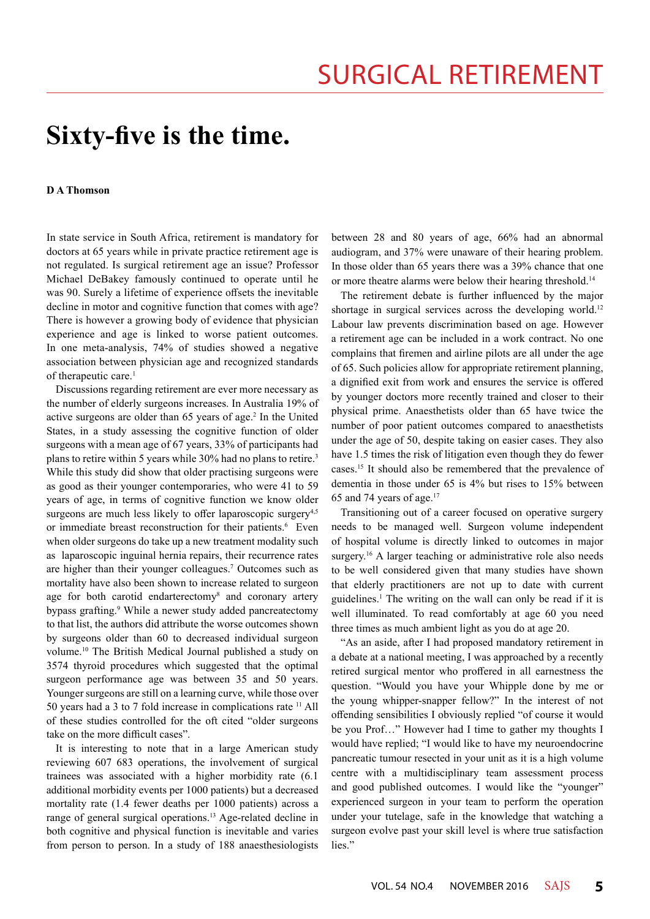## **Sixty-five is the time.**

## **D A Thomson**

In state service in South Africa, retirement is mandatory for doctors at 65 years while in private practice retirement age is not regulated. Is surgical retirement age an issue? Professor Michael DeBakey famously continued to operate until he was 90. Surely a lifetime of experience offsets the inevitable decline in motor and cognitive function that comes with age? There is however a growing body of evidence that physician experience and age is linked to worse patient outcomes. In one meta-analysis, 74% of studies showed a negative association between physician age and recognized standards of therapeutic care.<sup>1</sup>

Discussions regarding retirement are ever more necessary as the number of elderly surgeons increases. In Australia 19% of active surgeons are older than 65 years of age.<sup>2</sup> In the United States, in a study assessing the cognitive function of older surgeons with a mean age of 67 years, 33% of participants had plans to retire within 5 years while 30% had no plans to retire.3 While this study did show that older practising surgeons were as good as their younger contemporaries, who were 41 to 59 years of age, in terms of cognitive function we know older surgeons are much less likely to offer laparoscopic surgery<sup>4,5</sup> or immediate breast reconstruction for their patients.<sup>6</sup> Even when older surgeons do take up a new treatment modality such as laparoscopic inguinal hernia repairs, their recurrence rates are higher than their younger colleagues.7 Outcomes such as mortality have also been shown to increase related to surgeon age for both carotid endarterectomy<sup>8</sup> and coronary artery bypass grafting.<sup>9</sup> While a newer study added pancreatectomy to that list, the authors did attribute the worse outcomes shown by surgeons older than 60 to decreased individual surgeon volume.10 The British Medical Journal published a study on 3574 thyroid procedures which suggested that the optimal surgeon performance age was between 35 and 50 years. Younger surgeons are still on a learning curve, while those over 50 years had a 3 to 7 fold increase in complications rate 11 All of these studies controlled for the oft cited "older surgeons take on the more difficult cases".

It is interesting to note that in a large American study reviewing 607 683 operations, the involvement of surgical trainees was associated with a higher morbidity rate (6.1 additional morbidity events per 1000 patients) but a decreased mortality rate (1.4 fewer deaths per 1000 patients) across a range of general surgical operations.<sup>13</sup> Age-related decline in both cognitive and physical function is inevitable and varies from person to person. In a study of 188 anaesthesiologists between 28 and 80 years of age, 66% had an abnormal audiogram, and 37% were unaware of their hearing problem. In those older than 65 years there was a 39% chance that one or more theatre alarms were below their hearing threshold.<sup>14</sup>

The retirement debate is further influenced by the major shortage in surgical services across the developing world.<sup>12</sup> Labour law prevents discrimination based on age. However a retirement age can be included in a work contract. No one complains that firemen and airline pilots are all under the age of 65. Such policies allow for appropriate retirement planning, a dignified exit from work and ensures the service is offered by younger doctors more recently trained and closer to their physical prime. Anaesthetists older than 65 have twice the number of poor patient outcomes compared to anaesthetists under the age of 50, despite taking on easier cases. They also have 1.5 times the risk of litigation even though they do fewer cases.15 It should also be remembered that the prevalence of dementia in those under 65 is 4% but rises to 15% between 65 and 74 years of age. $17$ 

Transitioning out of a career focused on operative surgery needs to be managed well. Surgeon volume independent of hospital volume is directly linked to outcomes in major surgery.<sup>16</sup> A larger teaching or administrative role also needs to be well considered given that many studies have shown that elderly practitioners are not up to date with current guidelines.<sup>1</sup> The writing on the wall can only be read if it is well illuminated. To read comfortably at age 60 you need three times as much ambient light as you do at age 20.

"As an aside, after I had proposed mandatory retirement in a debate at a national meeting, I was approached by a recently retired surgical mentor who proffered in all earnestness the question. "Would you have your Whipple done by me or the young whipper-snapper fellow?" In the interest of not offending sensibilities I obviously replied "of course it would be you Prof…" However had I time to gather my thoughts I would have replied; "I would like to have my neuroendocrine pancreatic tumour resected in your unit as it is a high volume centre with a multidisciplinary team assessment process and good published outcomes. I would like the "younger" experienced surgeon in your team to perform the operation under your tutelage, safe in the knowledge that watching a surgeon evolve past your skill level is where true satisfaction lies."